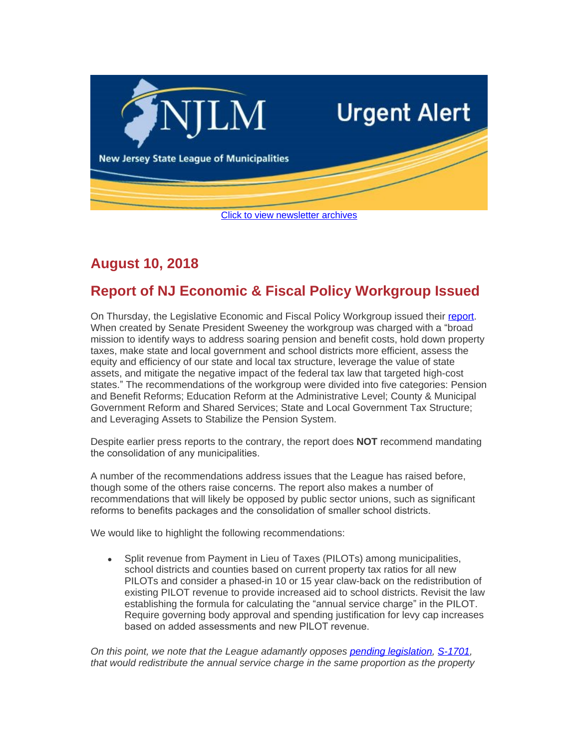

## **August 10, 2018**

## **Report of NJ Economic & Fiscal Policy Workgroup Issued**

On Thursday, the Legislative Economic and Fiscal Policy Workgroup issued their [report](https://www.njslom.org/DocumentCenter/View/6971/Path-to-Progress-Report-080918). When created by Senate President Sweeney the workgroup was charged with a "broad mission to identify ways to address soaring pension and benefit costs, hold down property taxes, make state and local government and school districts more efficient, assess the equity and efficiency of our state and local tax structure, leverage the value of state assets, and mitigate the negative impact of the federal tax law that targeted high-cost states." The recommendations of the workgroup were divided into five categories: Pension and Benefit Reforms; Education Reform at the Administrative Level; County & Municipal Government Reform and Shared Services; State and Local Government Tax Structure; and Leveraging Assets to Stabilize the Pension System.

Despite earlier press reports to the contrary, the report does **NOT** recommend mandating the consolidation of any municipalities.

A number of the recommendations address issues that the League has raised before, though some of the others raise concerns. The report also makes a number of recommendations that will likely be opposed by public sector unions, such as significant reforms to benefits packages and the consolidation of smaller school districts.

We would like to highlight the following recommendations:

 Split revenue from Payment in Lieu of Taxes (PILOTs) among municipalities, school districts and counties based on current property tax ratios for all new PILOTs and consider a phased-in 10 or 15 year claw-back on the redistribution of existing PILOT revenue to provide increased aid to school districts. Revisit the law establishing the formula for calculating the "annual service charge" in the PILOT. Require governing body approval and spending justification for levy cap increases based on added assessments and new PILOT revenue.

*On this point, we note that the League adamantly opposes [pending legislation](http://www.njleg.state.nj.us/2018/Bills/S2000/1701_R1.PDF), [S-1701,](http://www.njleg.state.nj.us/2018/Bills/S2000/1701_R1.PDF) that would redistribute the annual service charge in the same proportion as the property*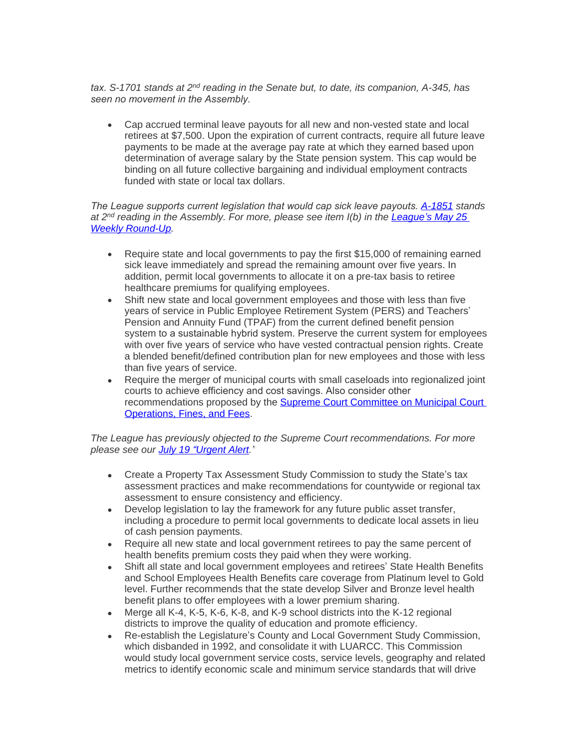*tax. S-1701 stands at 2nd reading in the Senate but, to date, its companion, A-345, has seen no movement in the Assembly.* 

 Cap accrued terminal leave payouts for all new and non-vested state and local retirees at \$7,500. Upon the expiration of current contracts, require all future leave payments to be made at the average pay rate at which they earned based upon determination of average salary by the State pension system. This cap would be binding on all future collective bargaining and individual employment contracts funded with state or local tax dollars.

*The League supports current legislation that would cap sick leave payouts. [A-1851](http://www.njleg.state.nj.us/2018/Bills/A2000/1851_R1.PDF) stands at 2nd reading in the Assembly. For more, please see item I(b) in the League'[s May 25](http://www.njslom.org/ArchiveCenter/ViewFile/Item/709)  Weekly Round-Up.*

- Require state and local governments to pay the first \$15,000 of remaining earned sick leave immediately and spread the remaining amount over five years. In addition, permit local governments to allocate it on a pre-tax basis to retiree healthcare premiums for qualifying employees.
- Shift new state and local government employees and those with less than five years of service in Public Employee Retirement System (PERS) and Teachers' Pension and Annuity Fund (TPAF) from the current defined benefit pension system to a sustainable hybrid system. Preserve the current system for employees with over five years of service who have vested contractual pension rights. Create a blended benefit/defined contribution plan for new employees and those with less than five years of service.
- Require the merger of municipal courts with small caseloads into regionalized joint courts to achieve efficiency and cost savings. Also consider other recommendations proposed by the [Supreme Court Committee on Municipal Court](https://www.njcourts.gov/courts/assets/supreme/reports/2018/sccmcoreport.pdf)  Operations, Fines, and Fees.

*The League has previously objected to the Supreme Court recommendations. For more please see our July 19 "[Urgent Alert](http://www.njslom.org/ArchiveCenter/ViewFile/Item/737)."*

- Create a Property Tax Assessment Study Commission to study the State's tax assessment practices and make recommendations for countywide or regional tax assessment to ensure consistency and efficiency.
- Develop legislation to lay the framework for any future public asset transfer, including a procedure to permit local governments to dedicate local assets in lieu of cash pension payments.
- Require all new state and local government retirees to pay the same percent of health benefits premium costs they paid when they were working.
- Shift all state and local government employees and retirees' State Health Benefits and School Employees Health Benefits care coverage from Platinum level to Gold level. Further recommends that the state develop Silver and Bronze level health benefit plans to offer employees with a lower premium sharing.
- Merge all K-4, K-5, K-6, K-8, and K-9 school districts into the K-12 regional districts to improve the quality of education and promote efficiency.
- Re-establish the Legislature's County and Local Government Study Commission, which disbanded in 1992, and consolidate it with LUARCC. This Commission would study local government service costs, service levels, geography and related metrics to identify economic scale and minimum service standards that will drive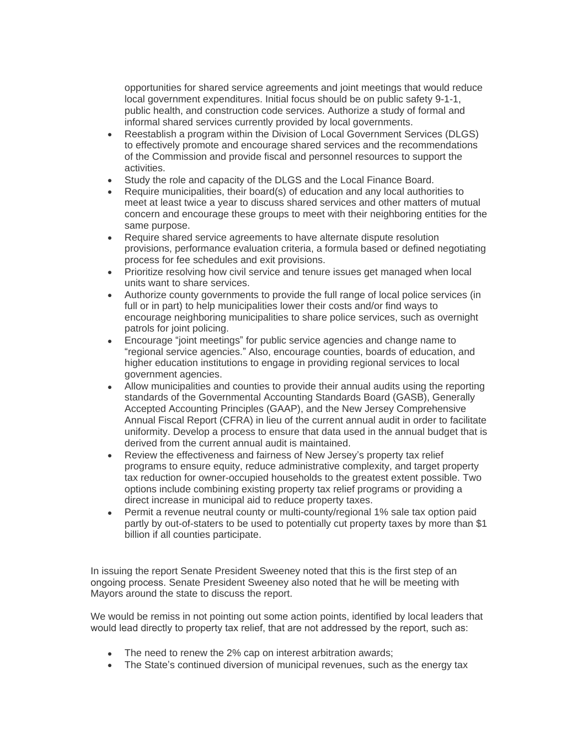opportunities for shared service agreements and joint meetings that would reduce local government expenditures. Initial focus should be on public safety 9-1-1, public health, and construction code services. Authorize a study of formal and informal shared services currently provided by local governments.

- Reestablish a program within the Division of Local Government Services (DLGS) to effectively promote and encourage shared services and the recommendations of the Commission and provide fiscal and personnel resources to support the activities.
- Study the role and capacity of the DLGS and the Local Finance Board.
- Require municipalities, their board(s) of education and any local authorities to meet at least twice a year to discuss shared services and other matters of mutual concern and encourage these groups to meet with their neighboring entities for the same purpose.
- Require shared service agreements to have alternate dispute resolution provisions, performance evaluation criteria, a formula based or defined negotiating process for fee schedules and exit provisions.
- Prioritize resolving how civil service and tenure issues get managed when local units want to share services.
- Authorize county governments to provide the full range of local police services (in full or in part) to help municipalities lower their costs and/or find ways to encourage neighboring municipalities to share police services, such as overnight patrols for joint policing.
- Encourage "joint meetings" for public service agencies and change name to "regional service agencies." Also, encourage counties, boards of education, and higher education institutions to engage in providing regional services to local government agencies.
- Allow municipalities and counties to provide their annual audits using the reporting standards of the Governmental Accounting Standards Board (GASB), Generally Accepted Accounting Principles (GAAP), and the New Jersey Comprehensive Annual Fiscal Report (CFRA) in lieu of the current annual audit in order to facilitate uniformity. Develop a process to ensure that data used in the annual budget that is derived from the current annual audit is maintained.
- Review the effectiveness and fairness of New Jersey's property tax relief programs to ensure equity, reduce administrative complexity, and target property tax reduction for owner-occupied households to the greatest extent possible. Two options include combining existing property tax relief programs or providing a direct increase in municipal aid to reduce property taxes.
- Permit a revenue neutral county or multi-county/regional 1% sale tax option paid partly by out-of-staters to be used to potentially cut property taxes by more than \$1 billion if all counties participate.

In issuing the report Senate President Sweeney noted that this is the first step of an ongoing process. Senate President Sweeney also noted that he will be meeting with Mayors around the state to discuss the report.

We would be remiss in not pointing out some action points, identified by local leaders that would lead directly to property tax relief, that are not addressed by the report, such as:

- The need to renew the 2% cap on interest arbitration awards;
- The State's continued diversion of municipal revenues, such as the energy tax